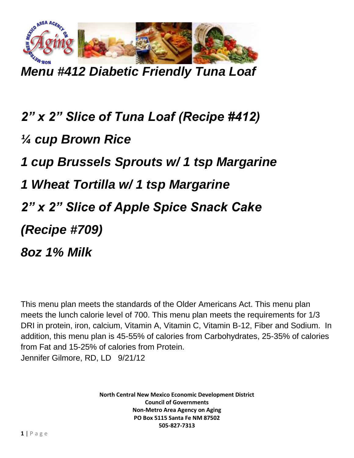

*Menu #412 Diabetic Friendly Tuna Loaf*

*2" x 2" Slice of Tuna Loaf (Recipe #412) ¼ cup Brown Rice 1 cup Brussels Sprouts w/ 1 tsp Margarine 1 Wheat Tortilla w/ 1 tsp Margarine 2" x 2" Slice of Apple Spice Snack Cake (Recipe #709) 8oz 1% Milk*

This menu plan meets the standards of the Older Americans Act. This menu plan meets the lunch calorie level of 700. This menu plan meets the requirements for 1/3 DRI in protein, iron, calcium, Vitamin A, Vitamin C, Vitamin B-12, Fiber and Sodium. In addition, this menu plan is 45-55% of calories from Carbohydrates, 25-35% of calories from Fat and 15-25% of calories from Protein. Jennifer Gilmore, RD, LD 9/21/12

> **North Central New Mexico Economic Development District Council of Governments Non-Metro Area Agency on Aging PO Box 5115 Santa Fe NM 87502 505-827-7313**